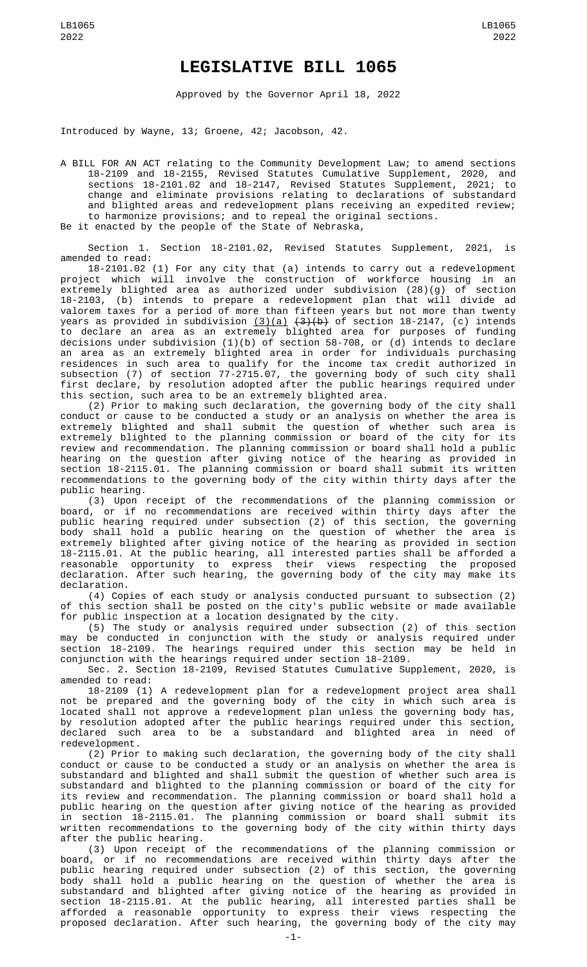## **LEGISLATIVE BILL 1065**

Approved by the Governor April 18, 2022

Introduced by Wayne, 13; Groene, 42; Jacobson, 42.

A BILL FOR AN ACT relating to the Community Development Law; to amend sections 18-2109 and 18-2155, Revised Statutes Cumulative Supplement, 2020, and sections 18-2101.02 and 18-2147, Revised Statutes Supplement, 2021; to change and eliminate provisions relating to declarations of substandard and blighted areas and redevelopment plans receiving an expedited review; to harmonize provisions; and to repeal the original sections. Be it enacted by the people of the State of Nebraska,

Section 1. Section 18-2101.02, Revised Statutes Supplement, 2021, is amended to read:

18-2101.02 (1) For any city that (a) intends to carry out a redevelopment project which will involve the construction of workforce housing in an extremely blighted area as authorized under subdivision (28)(g) of section 18-2103, (b) intends to prepare a redevelopment plan that will divide ad valorem taxes for a period of more than fifteen years but not more than twenty years as provided in subdivision <u>(3)(a)</u> <del>(3)(b)</del> of section 18-2147, (c) intends to declare an area as an extremely blighted area for purposes of funding decisions under subdivision (1)(b) of section 58-708, or (d) intends to declare an area as an extremely blighted area in order for individuals purchasing residences in such area to qualify for the income tax credit authorized in subsection (7) of section 77-2715.07, the governing body of such city shall first declare, by resolution adopted after the public hearings required under this section, such area to be an extremely blighted area.

(2) Prior to making such declaration, the governing body of the city shall conduct or cause to be conducted a study or an analysis on whether the area is extremely blighted and shall submit the question of whether such area is extremely blighted to the planning commission or board of the city for its review and recommendation. The planning commission or board shall hold a public hearing on the question after giving notice of the hearing as provided in section 18-2115.01. The planning commission or board shall submit its written recommendations to the governing body of the city within thirty days after the public hearing.

(3) Upon receipt of the recommendations of the planning commission or board, or if no recommendations are received within thirty days after the public hearing required under subsection (2) of this section, the governing body shall hold a public hearing on the question of whether the area is extremely blighted after giving notice of the hearing as provided in section 18-2115.01. At the public hearing, all interested parties shall be afforded a reasonable opportunity to express their views respecting the proposed declaration. After such hearing, the governing body of the city may make its declaration.

(4) Copies of each study or analysis conducted pursuant to subsection (2) of this section shall be posted on the city's public website or made available for public inspection at a location designated by the city.

(5) The study or analysis required under subsection (2) of this section may be conducted in conjunction with the study or analysis required under section 18-2109. The hearings required under this section may be held in conjunction with the hearings required under section 18-2109.

Sec. 2. Section 18-2109, Revised Statutes Cumulative Supplement, 2020, is amended to read:

18-2109 (1) A redevelopment plan for a redevelopment project area shall not be prepared and the governing body of the city in which such area is located shall not approve a redevelopment plan unless the governing body has, by resolution adopted after the public hearings required under this section, declared such area to be a substandard and blighted area in need of redevelopment.

(2) Prior to making such declaration, the governing body of the city shall conduct or cause to be conducted a study or an analysis on whether the area is substandard and blighted and shall submit the question of whether such area is substandard and blighted to the planning commission or board of the city for its review and recommendation. The planning commission or board shall hold a public hearing on the question after giving notice of the hearing as provided in section 18-2115.01. The planning commission or board shall submit its written recommendations to the governing body of the city within thirty days after the public hearing.

(3) Upon receipt of the recommendations of the planning commission or board, or if no recommendations are received within thirty days after the public hearing required under subsection (2) of this section, the governing body shall hold a public hearing on the question of whether the area is substandard and blighted after giving notice of the hearing as provided in section 18-2115.01. At the public hearing, all interested parties shall be afforded a reasonable opportunity to express their views respecting the proposed declaration. After such hearing, the governing body of the city may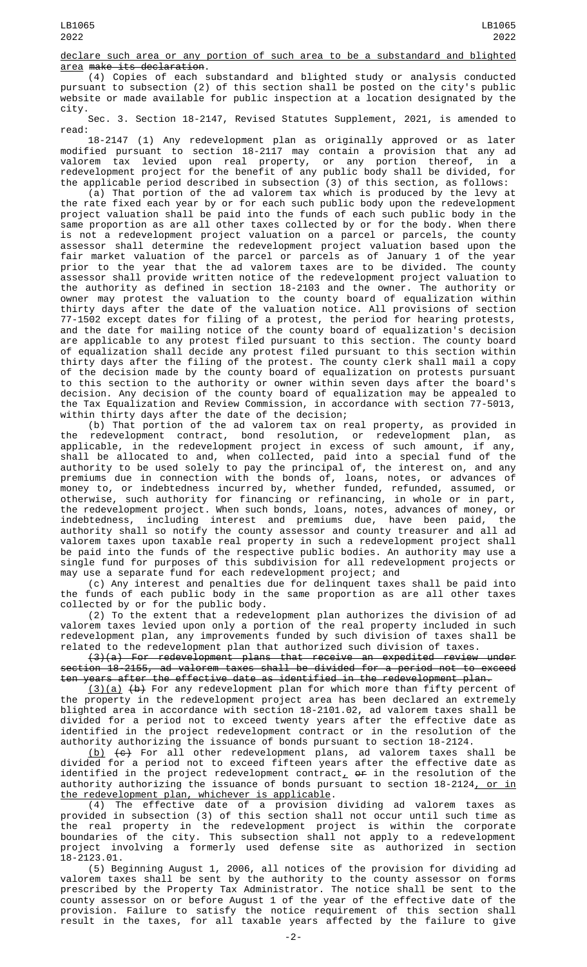declare such area or any portion of such area to be a substandard and blighted area make its declaration.

(4) Copies of each substandard and blighted study or analysis conducted pursuant to subsection (2) of this section shall be posted on the city's public website or made available for public inspection at a location designated by the city.

Sec. 3. Section 18-2147, Revised Statutes Supplement, 2021, is amended to read:

18-2147 (1) Any redevelopment plan as originally approved or as later modified pursuant to section 18-2117 may contain a provision that any ad valorem tax levied upon real property, or any portion thereof, in a redevelopment project for the benefit of any public body shall be divided, for the applicable period described in subsection (3) of this section, as follows:

(a) That portion of the ad valorem tax which is produced by the levy at the rate fixed each year by or for each such public body upon the redevelopment project valuation shall be paid into the funds of each such public body in the same proportion as are all other taxes collected by or for the body. When there is not a redevelopment project valuation on a parcel or parcels, the county assessor shall determine the redevelopment project valuation based upon the fair market valuation of the parcel or parcels as of January 1 of the year prior to the year that the ad valorem taxes are to be divided. The county assessor shall provide written notice of the redevelopment project valuation to the authority as defined in section 18-2103 and the owner. The authority or owner may protest the valuation to the county board of equalization within thirty days after the date of the valuation notice. All provisions of section 77-1502 except dates for filing of a protest, the period for hearing protests, and the date for mailing notice of the county board of equalization's decision are applicable to any protest filed pursuant to this section. The county board of equalization shall decide any protest filed pursuant to this section within thirty days after the filing of the protest. The county clerk shall mail a copy of the decision made by the county board of equalization on protests pursuant to this section to the authority or owner within seven days after the board's decision. Any decision of the county board of equalization may be appealed to the Tax Equalization and Review Commission, in accordance with section 77-5013, within thirty days after the date of the decision;

(b) That portion of the ad valorem tax on real property, as provided in the redevelopment contract, bond resolution, or redevelopment plan, as applicable, in the redevelopment project in excess of such amount, if any, shall be allocated to and, when collected, paid into a special fund of the authority to be used solely to pay the principal of, the interest on, and any premiums due in connection with the bonds of, loans, notes, or advances of money to, or indebtedness incurred by, whether funded, refunded, assumed, or otherwise, such authority for financing or refinancing, in whole or in part, the redevelopment project. When such bonds, loans, notes, advances of money, or indebtedness, including interest and premiums due, have been paid, the authority shall so notify the county assessor and county treasurer and all ad valorem taxes upon taxable real property in such a redevelopment project shall be paid into the funds of the respective public bodies. An authority may use a single fund for purposes of this subdivision for all redevelopment projects or may use a separate fund for each redevelopment project; and

(c) Any interest and penalties due for delinquent taxes shall be paid into the funds of each public body in the same proportion as are all other taxes collected by or for the public body.

(2) To the extent that a redevelopment plan authorizes the division of ad valorem taxes levied upon only a portion of the real property included in such redevelopment plan, any improvements funded by such division of taxes shall be related to the redevelopment plan that authorized such division of taxes.

(3)(a) For redevelopment plans that receive an expedited review under section 18-2155, ad valorem taxes shall be divided for a period not to exceed ten years after the effective date as identified in the redevelopment plan.

(3)(a) (b) For any redevelopment plan for which more than fifty percent of the property in the redevelopment project area has been declared an extremely blighted area in accordance with section 18-2101.02, ad valorem taxes shall be divided for a period not to exceed twenty years after the effective date as identified in the project redevelopment contract or in the resolution of the authority authorizing the issuance of bonds pursuant to section 18-2124.

(b) (c) For all other redevelopment plans, ad valorem taxes shall be divided for a period not to exceed fifteen years after the effective date as identified in the project redevelopment contract $_{\rm {\cal L}}$  o<del>r</del> in the resolution of the authority authorizing the issuance of bonds pursuant to section 18-2124<u>, or in</u> the redevelopment plan, whichever is applicable.

(4) The effective date of a provision dividing ad valorem taxes as provided in subsection (3) of this section shall not occur until such time as the real property in the redevelopment project is within the corporate boundaries of the city. This subsection shall not apply to a redevelopment project involving a formerly used defense site as authorized in section 18-2123.01.

(5) Beginning August 1, 2006, all notices of the provision for dividing ad valorem taxes shall be sent by the authority to the county assessor on forms prescribed by the Property Tax Administrator. The notice shall be sent to the county assessor on or before August 1 of the year of the effective date of the provision. Failure to satisfy the notice requirement of this section shall result in the taxes, for all taxable years affected by the failure to give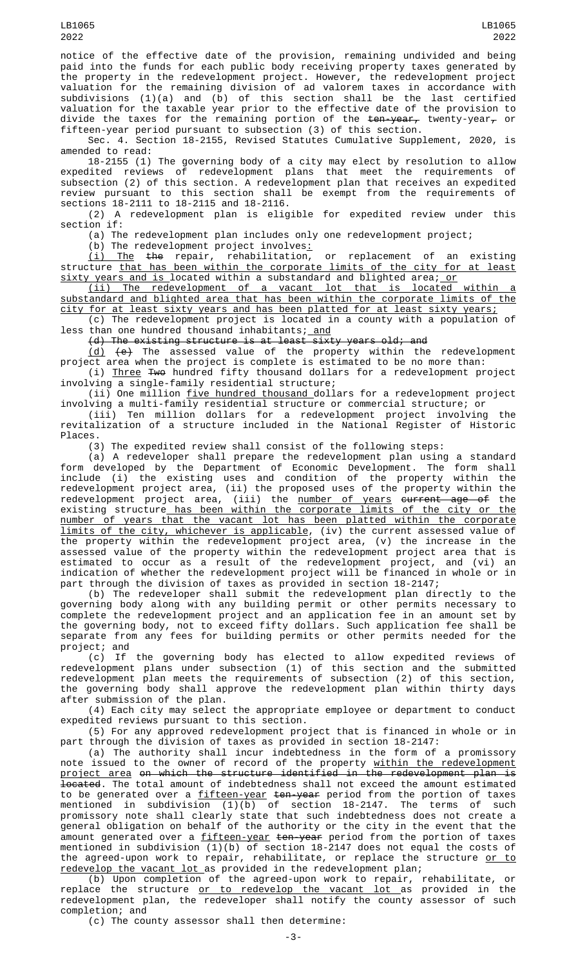notice of the effective date of the provision, remaining undivided and being paid into the funds for each public body receiving property taxes generated by the property in the redevelopment project. However, the redevelopment project valuation for the remaining division of ad valorem taxes in accordance with subdivisions (1)(a) and (b) of this section shall be the last certified valuation for the taxable year prior to the effective date of the provision to divide the taxes for the remaining portion of the <del>ten-year,</del> twenty-year<del>,</del> or fifteen-year period pursuant to subsection (3) of this section.

Sec. 4. Section 18-2155, Revised Statutes Cumulative Supplement, 2020, is amended to read:

18-2155 (1) The governing body of a city may elect by resolution to allow expedited reviews of redevelopment plans that meet the requirements of subsection (2) of this section. A redevelopment plan that receives an expedited review pursuant to this section shall be exempt from the requirements of sections 18-2111 to 18-2115 and 18-2116.

(2) A redevelopment plan is eligible for expedited review under this section if:

(a) The redevelopment plan includes only one redevelopment project;

 $(b)$  The redevelopment project involves:

(i) The the repair, rehabilitation, or replacement of an existing structure <u>that has been within the corporate limits of the city for at least</u> <u>sixty years and is </u>located within a substandard and blighted area; <u>or</u>

(ii) The redevelopment of a vacant lot that is located within a substandard and blighted area that has been within the corporate limits of the city for at least sixty years and has been platted for at least sixty years;

(c) The redevelopment project is located in a county with a population of less than one hundred thousand inhabitants; <u>and</u>

(d) The existing structure is at least sixty years old; and

<u>(d)</u> <del>(e)</del> The assessed value of the property within the redevelopment project area when the project is complete is estimated to be no more than:

(i) Three Two hundred fifty thousand dollars for a redevelopment project involving a single-family residential structure;

(ii) One million five hundred thousand dollars for a redevelopment project involving a multi-family residential structure or commercial structure; or

(iii) Ten million dollars for a redevelopment project involving the revitalization of a structure included in the National Register of Historic Places.

(3) The expedited review shall consist of the following steps:

(a) A redeveloper shall prepare the redevelopment plan using a standard form developed by the Department of Economic Development. The form shall include (i) the existing uses and condition of the property within the redevelopment project area, (ii) the proposed uses of the property within the redevelopment project area, (iii) the <u>number of years</u> <del>current age of</del> the existing structure<u> has been within the corporate limits of the city or the</u> number of years that the vacant lot has been platted within the corporate limits of the city, whichever is applicable, (iv) the current assessed value of the property within the redevelopment project area, (v) the increase in the assessed value of the property within the redevelopment project area that is estimated to occur as a result of the redevelopment project, and (vi) an indication of whether the redevelopment project will be financed in whole or in part through the division of taxes as provided in section 18-2147;

(b) The redeveloper shall submit the redevelopment plan directly to the governing body along with any building permit or other permits necessary to complete the redevelopment project and an application fee in an amount set by the governing body, not to exceed fifty dollars. Such application fee shall be separate from any fees for building permits or other permits needed for the project; and

(c) If the governing body has elected to allow expedited reviews of redevelopment plans under subsection (1) of this section and the submitted redevelopment plan meets the requirements of subsection (2) of this section, the governing body shall approve the redevelopment plan within thirty days after submission of the plan.

(4) Each city may select the appropriate employee or department to conduct expedited reviews pursuant to this section.

(5) For any approved redevelopment project that is financed in whole or in part through the division of taxes as provided in section 18-2147:

(a) The authority shall incur indebtedness in the form of a promissory note issued to the owner of record of the property <u>within the redevelopment</u> project area on which the structure identified in the redevelopment plan **located.** The total amount of indebtedness shall not exceed the amount estimated to be generated over a <u>fifteen-year</u> <del>ten-year</del> period from the portion of taxes mentioned in subdivision (1)(b) of section 18-2147. The terms of such promissory note shall clearly state that such indebtedness does not create a general obligation on behalf of the authority or the city in the event that the amount generated over a <u>fifteen-year</u> <del>ten-year</del> period from the portion of taxes mentioned in subdivision (1)(b) of section 18-2147 does not equal the costs of the agreed-upon work to repair, rehabilitate, or replace the structure <u>or to</u> redevelop the vacant lot as provided in the redevelopment plan;

(b) Upon completion of the agreed-upon work to repair, rehabilitate, or replace the structure <u>or to redevelop the vacant lot </u>as provided in the redevelopment plan, the redeveloper shall notify the county assessor of such completion; and

(c) The county assessor shall then determine: